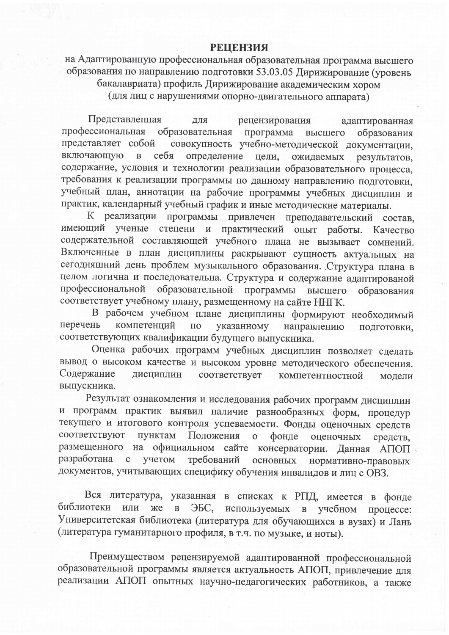## **РЕЦЕНЗИЯ**

на Адаптированную профессиональная образовательная программа высшего образования по направлению подготовки 53.03.05 Дирижирование (уровень бакалавриата) профиль Дирижирование академическим хором (для лиц с нарушениями опорно-двигательного аппарата)

Представленная рецензирования ДЛЯ адаптированная профессиональная образовательная программа высшего образования совокупность учебно-методической документации, представляет собой включающую определение  $\overline{B}$ себя цели, ожидаемых результатов, содержание, условия и технологии реализации образовательного процесса, требования к реализации программы по данному направлению подготовки, учебный план, аннотации на рабочие программы учебных дисциплин и практик, календарный учебный график и иные методические материалы.

К реализации программы привлечен преподавательский состав, имеющий ученые степени и практический опыт работы. Качество содержательной составляющей учебного плана не вызывает сомнений. Включенные в план дисциплины раскрывают сущность актуальных на сегодняшний день проблем музыкального образования. Структура плана в целом логична и последовательна. Структура и содержание адаптированой профессиональной образовательной программы высшего образования соответствует учебному плану, размещенному на сайте ННГК.

В рабочем учебном плане дисциплины формируют необходимый перечень компетенций  $\Pi$ <sup>O</sup> указанному направлению подготовки. соответствующих квалификации будущего выпускника.

Оценка рабочих программ учебных дисциплин позволяет сделать вывод о высоком качестве и высоком уровне методического обеспечения. Содержание дисциплин соответствует компетентностной молели выпускника.

Результат ознакомления и исследования рабочих программ дисциплин и программ практик выявил наличие разнообразных форм, процедур текущего и итогового контроля успеваемости. Фонды оценочных средств соответствуют пунктам Положения  $\ddot{\mathbf{o}}$ фонде оценочных средств, размещенного на официальном сайте консерватории. Данная АПОП разработана учетом требований  $\mathbf{C}$ основных нормативно-правовых документов, учитывающих специфику обучения инвалидов и лиц с ОВЗ.

Вся литература, указанная в списках к РПД, имеется в фонде библиотеки используемых или  $\overline{B}$ ЭБС, в учебном процессе: же Университетская библиотека (литература для обучающихся в вузах) и Лань (литература гуманитарного профиля, в т.ч. по музыке, и ноты).

Преимуществом рецензируемой адаптированной профессиональной образовательной программы является актуальность АПОП, привлечение для реализации АПОП опытных научно-педагогических работников, а также